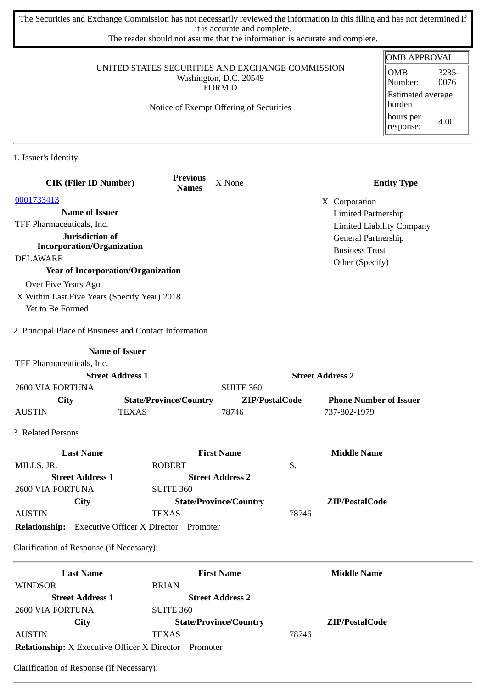The Securities and Exchange Commission has not necessarily reviewed the information in this filing and has not determined if it is accurate and complete.

The reader should not assume that the information is accurate and complete.

#### UNITED STATES SECURITIES AND EXCHANGE COMMISSION Washington, D.C. 20549 FORM D

Notice of Exempt Offering of Securities

| OMB APPROVAL                       |               |  |  |  |
|------------------------------------|---------------|--|--|--|
| OMB<br>Number:                     | 3235-<br>0076 |  |  |  |
| <b>Estimated average</b><br>burden |               |  |  |  |
| hours per<br>response:             | 4.00          |  |  |  |

1. Issuer's Identity

| <b>CIK (Filer ID Number)</b>                                     | <b>Previous</b><br><b>Names</b> | X None                        | <b>Entity Type</b>               |
|------------------------------------------------------------------|---------------------------------|-------------------------------|----------------------------------|
| 0001733413                                                       |                                 |                               | X Corporation                    |
| <b>Name of Issuer</b>                                            |                                 |                               | <b>Limited Partnership</b>       |
| TFF Pharmaceuticals, Inc.                                        |                                 |                               | <b>Limited Liability Company</b> |
| Jurisdiction of                                                  |                                 |                               | General Partnership              |
| <b>Incorporation/Organization</b>                                |                                 |                               | <b>Business Trust</b>            |
| <b>DELAWARE</b>                                                  |                                 |                               | Other (Specify)                  |
| <b>Year of Incorporation/Organization</b>                        |                                 |                               |                                  |
| Over Five Years Ago                                              |                                 |                               |                                  |
| X Within Last Five Years (Specify Year) 2018<br>Yet to Be Formed |                                 |                               |                                  |
| 2. Principal Place of Business and Contact Information           |                                 |                               |                                  |
|                                                                  | <b>Name of Issuer</b>           |                               |                                  |
| TFF Pharmaceuticals, Inc.                                        |                                 |                               |                                  |
|                                                                  | <b>Street Address 1</b>         |                               | <b>Street Address 2</b>          |
| 2600 VIA FORTUNA                                                 |                                 | <b>SUITE 360</b>              |                                  |
| <b>City</b>                                                      | <b>State/Province/Country</b>   | ZIP/PostalCode                | <b>Phone Number of Issuer</b>    |
| <b>AUSTIN</b>                                                    | <b>TEXAS</b>                    | 78746                         | 737-802-1979                     |
| 3. Related Persons                                               |                                 |                               |                                  |
| <b>Last Name</b>                                                 |                                 | <b>First Name</b>             | <b>Middle Name</b>               |
| MILLS, JR.                                                       | <b>ROBERT</b>                   | S.                            |                                  |
| <b>Street Address 1</b>                                          |                                 | <b>Street Address 2</b>       |                                  |
| 2600 VIA FORTUNA                                                 | <b>SUITE 360</b>                |                               |                                  |
| City                                                             |                                 | <b>State/Province/Country</b> | ZIP/PostalCode                   |
| <b>AUSTIN</b>                                                    | <b>TEXAS</b>                    | 78746                         |                                  |
| <b>Relationship:</b> Executive Officer X Director Promoter       |                                 |                               |                                  |
| Clarification of Response (if Necessary):                        |                                 |                               |                                  |
| <b>Last Name</b>                                                 |                                 | <b>First Name</b>             | <b>Middle Name</b>               |
| <b>WINDSOR</b>                                                   | <b>BRIAN</b>                    |                               |                                  |
| <b>Street Address 1</b>                                          |                                 | <b>Street Address 2</b>       |                                  |
| 2600 VIA FORTUNA                                                 | <b>SUITE 360</b>                |                               |                                  |
| City                                                             |                                 | <b>State/Province/Country</b> | ZIP/PostalCode                   |
| <b>AUSTIN</b>                                                    | <b>TEXAS</b>                    | 78746                         |                                  |

**Relationship:** X Executive Officer X Director Promoter

Clarification of Response (if Necessary):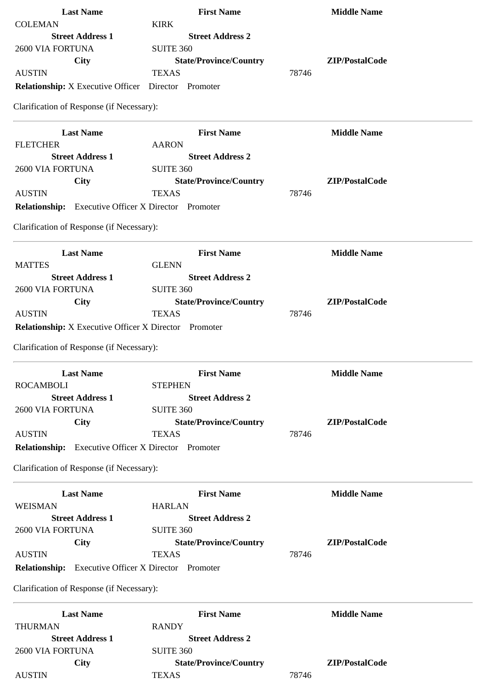| <b>Last Name</b>                                             | <b>First Name</b>             | <b>Middle Name</b> |
|--------------------------------------------------------------|-------------------------------|--------------------|
| <b>COLEMAN</b>                                               | <b>KIRK</b>                   |                    |
| <b>Street Address 1</b>                                      | <b>Street Address 2</b>       |                    |
| 2600 VIA FORTUNA                                             | <b>SUITE 360</b>              |                    |
| <b>City</b>                                                  | <b>State/Province/Country</b> | ZIP/PostalCode     |
| <b>AUSTIN</b>                                                | <b>TEXAS</b>                  | 78746              |
| <b>Relationship:</b> X Executive Officer                     | Director Promoter             |                    |
| Clarification of Response (if Necessary):                    |                               |                    |
| <b>Last Name</b>                                             | <b>First Name</b>             | <b>Middle Name</b> |
| <b>FLETCHER</b>                                              | <b>AARON</b>                  |                    |
| <b>Street Address 1</b>                                      | <b>Street Address 2</b>       |                    |
| 2600 VIA FORTUNA                                             | <b>SUITE 360</b>              |                    |
| <b>City</b>                                                  | <b>State/Province/Country</b> | ZIP/PostalCode     |
| <b>AUSTIN</b>                                                | <b>TEXAS</b>                  | 78746              |
| <b>Relationship:</b> Executive Officer X Director Promoter   |                               |                    |
| Clarification of Response (if Necessary):                    |                               |                    |
| <b>Last Name</b>                                             | <b>First Name</b>             | <b>Middle Name</b> |
| <b>MATTES</b>                                                | <b>GLENN</b>                  |                    |
| <b>Street Address 1</b>                                      | <b>Street Address 2</b>       |                    |
| 2600 VIA FORTUNA                                             | <b>SUITE 360</b>              |                    |
| City                                                         | <b>State/Province/Country</b> | ZIP/PostalCode     |
| <b>AUSTIN</b>                                                | <b>TEXAS</b>                  | 78746              |
| <b>Relationship:</b> X Executive Officer X Director Promoter |                               |                    |
|                                                              |                               |                    |
| Clarification of Response (if Necessary):                    |                               |                    |
| <b>Last Name</b>                                             | <b>First Name</b>             | <b>Middle Name</b> |
| <b>ROCAMBOLI</b>                                             | <b>STEPHEN</b>                |                    |
| <b>Street Address 1</b>                                      | <b>Street Address 2</b>       |                    |
| 2600 VIA FORTUNA                                             | <b>SUITE 360</b>              |                    |
| <b>City</b>                                                  | <b>State/Province/Country</b> | ZIP/PostalCode     |
| <b>AUSTIN</b>                                                | <b>TEXAS</b>                  | 78746              |
| Relationship: Executive Officer X Director Promoter          |                               |                    |
| Clarification of Response (if Necessary):                    |                               |                    |
| <b>Last Name</b>                                             | <b>First Name</b>             | <b>Middle Name</b> |
| WEISMAN                                                      | <b>HARLAN</b>                 |                    |
| <b>Street Address 1</b>                                      | <b>Street Address 2</b>       |                    |
| 2600 VIA FORTUNA                                             | <b>SUITE 360</b>              |                    |
| <b>City</b>                                                  | <b>State/Province/Country</b> | ZIP/PostalCode     |
| <b>AUSTIN</b>                                                | <b>TEXAS</b>                  | 78746              |
| <b>Relationship:</b> Executive Officer X Director Promoter   |                               |                    |
| Clarification of Response (if Necessary):                    |                               |                    |
|                                                              |                               |                    |
| <b>Last Name</b>                                             | <b>First Name</b>             | <b>Middle Name</b> |
| <b>THURMAN</b>                                               | <b>RANDY</b>                  |                    |
| <b>Street Address 1</b>                                      | <b>Street Address 2</b>       |                    |
| 2600 VIA FORTUNA                                             | <b>SUITE 360</b>              |                    |
| City                                                         | <b>State/Province/Country</b> | ZIP/PostalCode     |
| <b>AUSTIN</b>                                                | <b>TEXAS</b>                  | 78746              |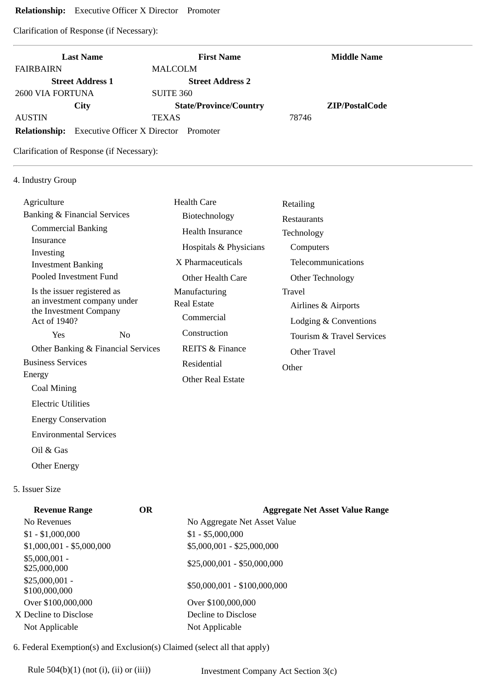## **Relationship:** Executive Officer X Director Promoter

Clarification of Response (if Necessary):

|                         | <b>Last Name</b>                             | <b>First Name</b>             |       | <b>Middle Name</b> |
|-------------------------|----------------------------------------------|-------------------------------|-------|--------------------|
| <b>FAIRBAIRN</b>        |                                              | MALCOLM                       |       |                    |
|                         | <b>Street Address 1</b>                      | <b>Street Address 2</b>       |       |                    |
| <b>2600 VIA FORTUNA</b> |                                              | SUITE 360                     |       |                    |
|                         | City                                         | <b>State/Province/Country</b> |       | ZIP/PostalCode     |
| <b>AUSTIN</b>           |                                              | <b>TEXAS</b>                  | 78746 |                    |
| <b>Relationship:</b>    | <b>Executive Officer X Director</b> Promoter |                               |       |                    |

Clarification of Response (if Necessary):

## 4. Industry Group

| Agriculture                                           |                | <b>Health Care</b>         | Retailing                 |
|-------------------------------------------------------|----------------|----------------------------|---------------------------|
| <b>Banking &amp; Financial Services</b>               |                | Biotechnology              | <b>Restaurants</b>        |
| <b>Commercial Banking</b>                             |                | <b>Health Insurance</b>    | Technology                |
| Insurance                                             |                | Hospitals & Physicians     | Computers                 |
| Investing<br><b>Investment Banking</b>                |                | X Pharmaceuticals          | Telecommunications        |
| Pooled Investment Fund                                |                | Other Health Care          | Other Technology          |
| Is the issuer registered as                           |                | Manufacturing              | Travel                    |
| an investment company under<br>the Investment Company |                | <b>Real Estate</b>         | Airlines & Airports       |
| Act of 1940?                                          |                | Commercial                 | Lodging & Conventions     |
| Yes                                                   | N <sub>0</sub> | Construction               | Tourism & Travel Services |
| Other Banking & Financial Services                    |                | <b>REITS &amp; Finance</b> | Other Travel              |
| <b>Business Services</b>                              |                | Residential                | Other                     |
| Energy                                                |                | <b>Other Real Estate</b>   |                           |
| Coal Mining                                           |                |                            |                           |
| <b>Electric Utilities</b>                             |                |                            |                           |
| <b>Energy Conservation</b>                            |                |                            |                           |

Environmental Services

Oil & Gas

Other Energy

# 5. Issuer Size

| <b>Revenue Range</b>             | OR | <b>Aggregate Net Asset Value Range</b> |
|----------------------------------|----|----------------------------------------|
| No Revenues                      |    | No Aggregate Net Asset Value           |
| $$1 - $1,000,000$                |    | $$1 - $5,000,000$                      |
| $$1,000,001 - $5,000,000$        |    | \$5,000,001 - \$25,000,000             |
| $$5,000,001 -$<br>\$25,000,000   |    | \$25,000,001 - \$50,000,000            |
| $$25,000,001 -$<br>\$100,000,000 |    | \$50,000,001 - \$100,000,000           |
| Over \$100,000,000               |    | Over \$100,000,000                     |
| X Decline to Disclose            |    | Decline to Disclose                    |
| Not Applicable                   |    | Not Applicable                         |
|                                  |    |                                        |

6. Federal Exemption(s) and Exclusion(s) Claimed (select all that apply)

Rule 504(b)(1) (not (i), (ii) or (iii)) Investment Company Act Section 3(c)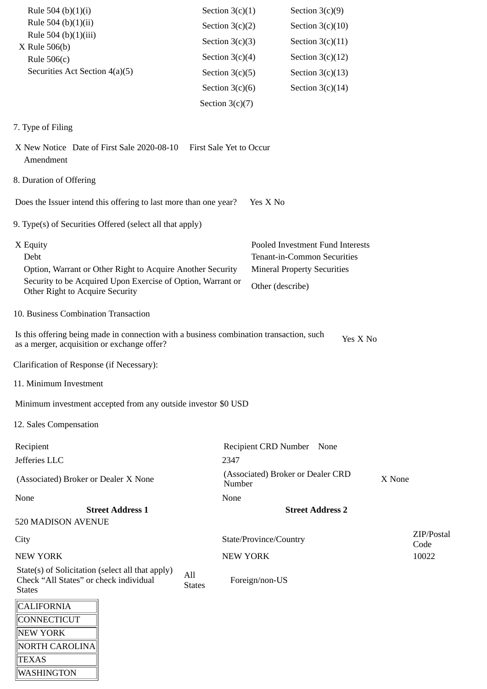| Rule 504 (b)(1)(i)                                                                                                                     | Section $3(c)(1)$       |                           | Section $3(c)(9)$                  |        |                    |
|----------------------------------------------------------------------------------------------------------------------------------------|-------------------------|---------------------------|------------------------------------|--------|--------------------|
| Rule 504 (b)(1)(ii)                                                                                                                    | Section $3(c)(2)$       |                           | Section $3(c)(10)$                 |        |                    |
| Rule 504 (b)(1)(iii)                                                                                                                   | Section $3(c)(3)$       |                           | Section $3(c)(11)$                 |        |                    |
| X Rule 506(b)<br>Rule $506(c)$                                                                                                         | Section $3(c)(4)$       |                           | Section $3(c)(12)$                 |        |                    |
| Securities Act Section 4(a)(5)                                                                                                         | Section $3(c)(5)$       |                           | Section $3(c)(13)$                 |        |                    |
|                                                                                                                                        | Section $3(c)(6)$       |                           | Section $3(c)(14)$                 |        |                    |
|                                                                                                                                        | Section $3(c)(7)$       |                           |                                    |        |                    |
|                                                                                                                                        |                         |                           |                                    |        |                    |
| 7. Type of Filing                                                                                                                      |                         |                           |                                    |        |                    |
| X New Notice Date of First Sale 2020-08-10<br>Amendment                                                                                | First Sale Yet to Occur |                           |                                    |        |                    |
| 8. Duration of Offering                                                                                                                |                         |                           |                                    |        |                    |
| Does the Issuer intend this offering to last more than one year?                                                                       |                         | Yes X No                  |                                    |        |                    |
| 9. Type(s) of Securities Offered (select all that apply)                                                                               |                         |                           |                                    |        |                    |
| X Equity                                                                                                                               |                         |                           | Pooled Investment Fund Interests   |        |                    |
| Debt                                                                                                                                   |                         |                           | Tenant-in-Common Securities        |        |                    |
| Option, Warrant or Other Right to Acquire Another Security                                                                             |                         |                           | <b>Mineral Property Securities</b> |        |                    |
| Security to be Acquired Upon Exercise of Option, Warrant or<br>Other Right to Acquire Security                                         |                         | Other (describe)          |                                    |        |                    |
| 10. Business Combination Transaction                                                                                                   |                         |                           |                                    |        |                    |
| Is this offering being made in connection with a business combination transaction, such<br>as a merger, acquisition or exchange offer? |                         |                           | Yes X No                           |        |                    |
| Clarification of Response (if Necessary):                                                                                              |                         |                           |                                    |        |                    |
| 11. Minimum Investment                                                                                                                 |                         |                           |                                    |        |                    |
| Minimum investment accepted from any outside investor \$0 USD                                                                          |                         |                           |                                    |        |                    |
| 12. Sales Compensation                                                                                                                 |                         |                           |                                    |        |                    |
| Recipient                                                                                                                              |                         | Recipient CRD Number None |                                    |        |                    |
| Jefferies LLC                                                                                                                          | 2347                    |                           |                                    |        |                    |
| (Associated) Broker or Dealer X None                                                                                                   | Number                  |                           | (Associated) Broker or Dealer CRD  | X None |                    |
| None                                                                                                                                   | None                    |                           |                                    |        |                    |
| <b>Street Address 1</b>                                                                                                                |                         |                           | <b>Street Address 2</b>            |        |                    |
| 520 MADISON AVENUE                                                                                                                     |                         |                           |                                    |        |                    |
| City                                                                                                                                   |                         | State/Province/Country    |                                    |        | ZIP/Postal<br>Code |
| <b>NEW YORK</b>                                                                                                                        | <b>NEW YORK</b>         |                           |                                    |        | 10022              |
| State(s) of Solicitation (select all that apply)<br>Check "All States" or check individual                                             | All<br><b>States</b>    | Foreign/non-US            |                                    |        |                    |
| <b>States</b>                                                                                                                          |                         |                           |                                    |        |                    |
| <b>CALIFORNIA</b>                                                                                                                      |                         |                           |                                    |        |                    |
| CONNECTICUT                                                                                                                            |                         |                           |                                    |        |                    |
| NEW YORK<br><b>NORTH CAROLINA</b>                                                                                                      |                         |                           |                                    |        |                    |
| <b>TEXAS</b>                                                                                                                           |                         |                           |                                    |        |                    |

WASHINGTON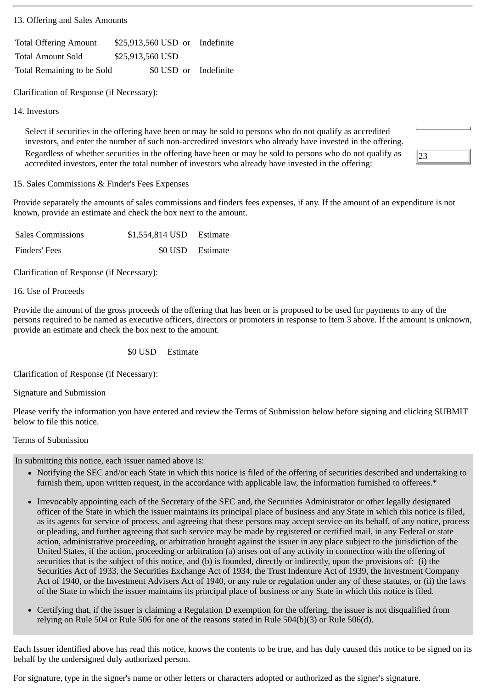13. Offering and Sales Amounts

| <b>Total Offering Amount</b> | \$25,913,560 USD or Indefinite |                       |
|------------------------------|--------------------------------|-----------------------|
| <b>Total Amount Sold</b>     | \$25,913,560 USD               |                       |
| Total Remaining to be Sold   |                                | \$0 USD or Indefinite |

Clarification of Response (if Necessary):

14. Investors

Select if securities in the offering have been or may be sold to persons who do not qualify as accredited investors, and enter the number of such non-accredited investors who already have invested in the offering. Regardless of whether securities in the offering have been or may be sold to persons who do not qualify as accredited investors, enter the total number of investors who already have invested in the offering:

15. Sales Commissions & Finder's Fees Expenses

Provide separately the amounts of sales commissions and finders fees expenses, if any. If the amount of an expenditure is not known, provide an estimate and check the box next to the amount.

23

| <b>Sales Commissions</b> | \$1,554,814 USD Estimate |  |
|--------------------------|--------------------------|--|
| Finders' Fees            | \$0 USD Estimate         |  |

Clarification of Response (if Necessary):

16. Use of Proceeds

Provide the amount of the gross proceeds of the offering that has been or is proposed to be used for payments to any of the persons required to be named as executive officers, directors or promoters in response to Item 3 above. If the amount is unknown, provide an estimate and check the box next to the amount.

\$0 USD Estimate

Clarification of Response (if Necessary):

Signature and Submission

Please verify the information you have entered and review the Terms of Submission below before signing and clicking SUBMIT below to file this notice.

#### Terms of Submission

In submitting this notice, each issuer named above is:

- Notifying the SEC and/or each State in which this notice is filed of the offering of securities described and undertaking to furnish them, upon written request, in the accordance with applicable law, the information furnished to offerees.\*
- Irrevocably appointing each of the Secretary of the SEC and, the Securities Administrator or other legally designated officer of the State in which the issuer maintains its principal place of business and any State in which this notice is filed, as its agents for service of process, and agreeing that these persons may accept service on its behalf, of any notice, process or pleading, and further agreeing that such service may be made by registered or certified mail, in any Federal or state action, administrative proceeding, or arbitration brought against the issuer in any place subject to the jurisdiction of the United States, if the action, proceeding or arbitration (a) arises out of any activity in connection with the offering of securities that is the subject of this notice, and (b) is founded, directly or indirectly, upon the provisions of: (i) the Securities Act of 1933, the Securities Exchange Act of 1934, the Trust Indenture Act of 1939, the Investment Company Act of 1940, or the Investment Advisers Act of 1940, or any rule or regulation under any of these statutes, or (ii) the laws of the State in which the issuer maintains its principal place of business or any State in which this notice is filed.
- Certifying that, if the issuer is claiming a Regulation D exemption for the offering, the issuer is not disqualified from relying on Rule 504 or Rule 506 for one of the reasons stated in Rule 504(b)(3) or Rule 506(d).

Each Issuer identified above has read this notice, knows the contents to be true, and has duly caused this notice to be signed on its behalf by the undersigned duly authorized person.

For signature, type in the signer's name or other letters or characters adopted or authorized as the signer's signature.